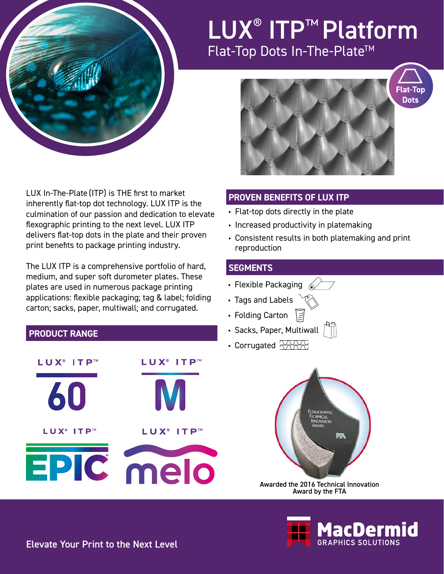

## LUX<sup>®</sup> ITP™ Platform Flat-Top Dots In-The-Plate™



LUX In-The-Plate (ITP) is THE first to market inherently flat-top dot technology. LUX ITP is the culmination of our passion and dedication to elevate flexographic printing to the next level. LUX ITP delivers flat-top dots in the plate and their proven print benefits to package printing industry.

The LUX ITP is a comprehensive portfolio of hard, medium, and super soft durometer plates. These plates are used in numerous package printing applications: flexible packaging; tag & label; folding carton; sacks, paper, multiwall; and corrugated.

### **PRODUCT RANGE**



### **PROVEN BENEFITS OF LUX ITP**

- Flat-top dots directly in the plate
- Increased productivity in platemaking
- Consistent results in both platemaking and print reproduction

#### **SEGMENTS**

- Flexible Packaging  $\mathscr{D}$
- Tags and Labels
- Folding Carton 7
- Sacks, Paper, Multiwall
- Corrugated  $\sqrt{1100}$



Awarded the 2016 Technical Innovation Award by the FTA



Elevate Your Print to the Next Level